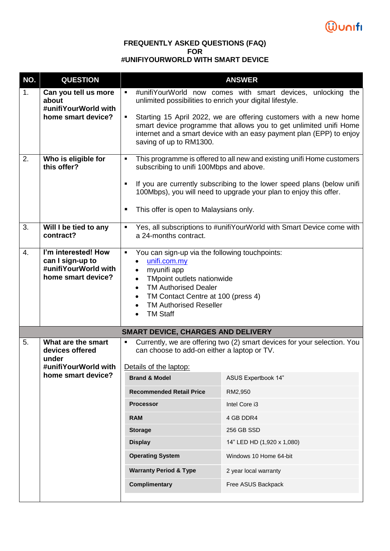

## **FREQUENTLY ASKED QUESTIONS (FAQ) FOR #UNIFIYOURWORLD WITH SMART DEVICE**

| NO. | <b>QUESTION</b>                                                                       | <b>ANSWER</b>                                                                                                                                                                                                                                                                                 |                                                                                                                                                                                                                 |
|-----|---------------------------------------------------------------------------------------|-----------------------------------------------------------------------------------------------------------------------------------------------------------------------------------------------------------------------------------------------------------------------------------------------|-----------------------------------------------------------------------------------------------------------------------------------------------------------------------------------------------------------------|
| 1.  | Can you tell us more<br>about<br>#unifiYourWorld with<br>home smart device?           | $\blacksquare$<br>unlimited possibilities to enrich your digital lifestyle.                                                                                                                                                                                                                   | #unifiYourWorld now comes with smart devices,<br>unlocking the                                                                                                                                                  |
|     |                                                                                       | ٠<br>saving of up to RM1300.                                                                                                                                                                                                                                                                  | Starting 15 April 2022, we are offering customers with a new home<br>smart device programme that allows you to get unlimited unifi Home<br>internet and a smart device with an easy payment plan (EPP) to enjoy |
| 2.  | Who is eligible for<br>this offer?                                                    | ٠<br>subscribing to unifi 100Mbps and above.                                                                                                                                                                                                                                                  | This programme is offered to all new and existing unifi Home customers                                                                                                                                          |
|     |                                                                                       | ٠                                                                                                                                                                                                                                                                                             | If you are currently subscribing to the lower speed plans (below unifi-<br>100Mbps), you will need to upgrade your plan to enjoy this offer.                                                                    |
|     |                                                                                       | This offer is open to Malaysians only.                                                                                                                                                                                                                                                        |                                                                                                                                                                                                                 |
| 3.  | Will I be tied to any<br>contract?                                                    | ٠<br>a 24-months contract.                                                                                                                                                                                                                                                                    | Yes, all subscriptions to #unifiYourWorld with Smart Device come with                                                                                                                                           |
| 4.  | I'm interested! How<br>can I sign-up to<br>#unifiYourWorld with<br>home smart device? | You can sign-up via the following touchpoints:<br>٠<br>unifi.com.my<br>myunifi app<br>TMpoint outlets nationwide<br>$\bullet$<br><b>TM Authorised Dealer</b><br>$\bullet$<br>TM Contact Centre at 100 (press 4)<br>$\bullet$<br><b>TM Authorised Reseller</b><br>$\bullet$<br><b>TM Staff</b> |                                                                                                                                                                                                                 |
|     |                                                                                       | <b>SMART DEVICE, CHARGES AND DELIVERY</b>                                                                                                                                                                                                                                                     |                                                                                                                                                                                                                 |
| 5.  | What are the smart<br>devices offered<br>under                                        | Currently, we are offering two (2) smart devices for your selection. You<br>٠<br>can choose to add-on either a laptop or TV.                                                                                                                                                                  |                                                                                                                                                                                                                 |
|     | #unifiYourWorld with                                                                  | Details of the laptop:                                                                                                                                                                                                                                                                        |                                                                                                                                                                                                                 |
|     | home smart device?                                                                    | <b>Brand &amp; Model</b>                                                                                                                                                                                                                                                                      | <b>ASUS Expertbook 14"</b>                                                                                                                                                                                      |
|     |                                                                                       | <b>Recommended Retail Price</b>                                                                                                                                                                                                                                                               | RM2,950                                                                                                                                                                                                         |
|     |                                                                                       | <b>Processor</b>                                                                                                                                                                                                                                                                              | Intel Core i3                                                                                                                                                                                                   |
|     |                                                                                       | <b>RAM</b>                                                                                                                                                                                                                                                                                    | 4 GB DDR4                                                                                                                                                                                                       |
|     |                                                                                       | <b>Storage</b>                                                                                                                                                                                                                                                                                | 256 GB SSD                                                                                                                                                                                                      |
|     |                                                                                       | <b>Display</b>                                                                                                                                                                                                                                                                                | 14" LED HD (1,920 x 1,080)                                                                                                                                                                                      |
|     |                                                                                       | <b>Operating System</b>                                                                                                                                                                                                                                                                       | Windows 10 Home 64-bit                                                                                                                                                                                          |
|     |                                                                                       | <b>Warranty Period &amp; Type</b>                                                                                                                                                                                                                                                             | 2 year local warranty                                                                                                                                                                                           |
|     |                                                                                       | <b>Complimentary</b>                                                                                                                                                                                                                                                                          | Free ASUS Backpack                                                                                                                                                                                              |
|     |                                                                                       |                                                                                                                                                                                                                                                                                               |                                                                                                                                                                                                                 |
|     |                                                                                       |                                                                                                                                                                                                                                                                                               |                                                                                                                                                                                                                 |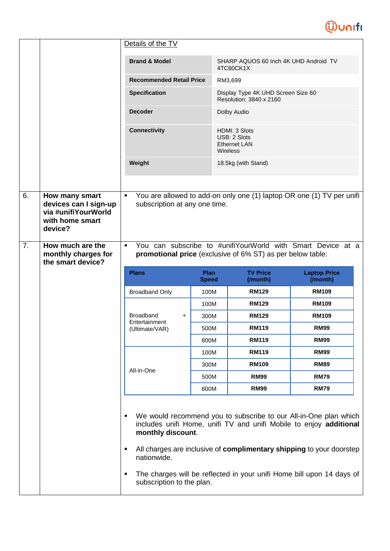## **Wunifi**

|    |                                                                                              | Details of the TV                                                             |                      |                                                                  |                                                                       |
|----|----------------------------------------------------------------------------------------------|-------------------------------------------------------------------------------|----------------------|------------------------------------------------------------------|-----------------------------------------------------------------------|
|    |                                                                                              | <b>Brand &amp; Model</b>                                                      |                      | SHARP AQUOS 60 Inch 4K UHD Android TV<br>4TC60CK1X               |                                                                       |
|    |                                                                                              | <b>Recommended Retail Price</b>                                               |                      | RM3,699                                                          |                                                                       |
|    |                                                                                              | <b>Specification</b>                                                          |                      | Display Type 4K UHD Screen Size 60<br>Resolution: 3840 x 2160    |                                                                       |
|    |                                                                                              | <b>Decoder</b>                                                                |                      | Dolby Audio                                                      |                                                                       |
|    |                                                                                              | <b>Connectivity</b>                                                           |                      | HDMI: 3 Slots<br>USB: 2 Slots<br><b>Ethernet LAN</b><br>Wireless |                                                                       |
|    |                                                                                              | Weight                                                                        |                      | 18.5kg (with Stand)                                              |                                                                       |
|    |                                                                                              |                                                                               |                      |                                                                  |                                                                       |
| 6. | How many smart<br>devices can I sign-up<br>via #unifiYourWorld<br>with home smart<br>device? | ×,<br>subscription at any one time.                                           |                      |                                                                  | You are allowed to add-on only one (1) laptop OR one (1) TV per unifi |
| 7. | How much are the                                                                             | You can subscribe to #unifiYourWorld with Smart Device at a<br>$\blacksquare$ |                      |                                                                  |                                                                       |
|    | monthly charges for<br>the smart device?                                                     | promotional price (exclusive of 6% ST) as per below table:                    |                      |                                                                  |                                                                       |
|    |                                                                                              | <b>Plans</b>                                                                  | Plan<br><b>Speed</b> | <b>TV Price</b><br>(/month)                                      | <b>Laptop Price</b><br>(/month)                                       |
|    |                                                                                              |                                                                               |                      |                                                                  |                                                                       |
|    |                                                                                              | <b>Broadband Only</b>                                                         | 100M                 | <b>RM129</b>                                                     | <b>RM109</b>                                                          |
|    |                                                                                              |                                                                               | 100M                 | <b>RM129</b>                                                     | <b>RM109</b>                                                          |
|    |                                                                                              | <b>Broadband</b><br>$\ddot{}$                                                 | 300M                 | <b>RM129</b>                                                     | <b>RM109</b>                                                          |
|    |                                                                                              | Entertainment<br>(Ultimate/VAR)                                               | 500M                 | <b>RM119</b>                                                     | <b>RM99</b>                                                           |
|    |                                                                                              |                                                                               | 800M                 | <b>RM119</b>                                                     | <b>RM99</b>                                                           |
|    |                                                                                              |                                                                               | 100M                 | <b>RM119</b>                                                     | <b>RM99</b>                                                           |
|    |                                                                                              |                                                                               | 300M                 | <b>RM109</b>                                                     | <b>RM89</b>                                                           |
|    |                                                                                              | All-in-One                                                                    | 500M                 | <b>RM99</b>                                                      | <b>RM79</b>                                                           |
|    |                                                                                              |                                                                               | 800M                 | <b>RM99</b>                                                      | <b>RM79</b>                                                           |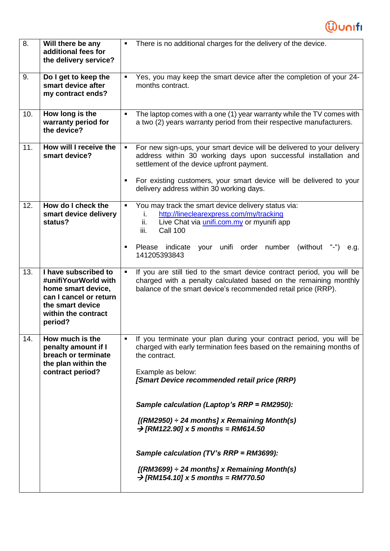

| 8.  | Will there be any<br>additional fees for<br>the delivery service?                                                                                  | There is no additional charges for the delivery of the device.                                                                                                                                                                |
|-----|----------------------------------------------------------------------------------------------------------------------------------------------------|-------------------------------------------------------------------------------------------------------------------------------------------------------------------------------------------------------------------------------|
| 9.  | Do I get to keep the<br>smart device after<br>my contract ends?                                                                                    | Yes, you may keep the smart device after the completion of your 24-<br>٠<br>months contract.                                                                                                                                  |
| 10. | How long is the<br>warranty period for<br>the device?                                                                                              | The laptop comes with a one (1) year warranty while the TV comes with<br>$\blacksquare$<br>a two (2) years warranty period from their respective manufacturers.                                                               |
| 11. | How will I receive the<br>smart device?                                                                                                            | For new sign-ups, your smart device will be delivered to your delivery<br>$\blacksquare$<br>address within 30 working days upon successful installation and<br>settlement of the device upfront payment.                      |
|     |                                                                                                                                                    | For existing customers, your smart device will be delivered to your<br>٠<br>delivery address within 30 working days.                                                                                                          |
| 12. | How do I check the<br>smart device delivery<br>status?                                                                                             | You may track the smart device delivery status via:<br>$\blacksquare$<br>http://lineclearexpress.com/my/tracking<br>i.<br>Live Chat via <i>unifi.com.my</i> or myunifi app<br>ii.<br><b>Call 100</b><br>iii.                  |
|     |                                                                                                                                                    | Please indicate<br>your<br>unifi order number<br>(without)<br>٠<br>e.g.<br>141205393843                                                                                                                                       |
| 13. | I have subscribed to<br>#unifiYourWorld with<br>home smart device,<br>can I cancel or return<br>the smart device<br>within the contract<br>period? | If you are still tied to the smart device contract period, you will be<br>$\blacksquare$<br>charged with a penalty calculated based on the remaining monthly<br>balance of the smart device's recommended retail price (RRP). |
| 14. | How much is the<br>penalty amount if I<br>breach or terminate<br>the plan within the                                                               | If you terminate your plan during your contract period, you will be<br>charged with early termination fees based on the remaining months of<br>the contract.                                                                  |
|     | contract period?                                                                                                                                   | Example as below:<br>[Smart Device recommended retail price (RRP)                                                                                                                                                             |
|     |                                                                                                                                                    | Sample calculation (Laptop's RRP = RM2950):                                                                                                                                                                                   |
|     |                                                                                                                                                    | $[(RM2950) \div 24$ months] x Remaining Month(s)<br>$\rightarrow$ [RM122.90] x 5 months = RM614.50                                                                                                                            |
|     |                                                                                                                                                    | Sample calculation (TV's RRP = RM3699):                                                                                                                                                                                       |
|     |                                                                                                                                                    | $[(RM3699) \div 24$ months] x Remaining Month(s)<br>$\rightarrow$ [RM154.10] x 5 months = RM770.50                                                                                                                            |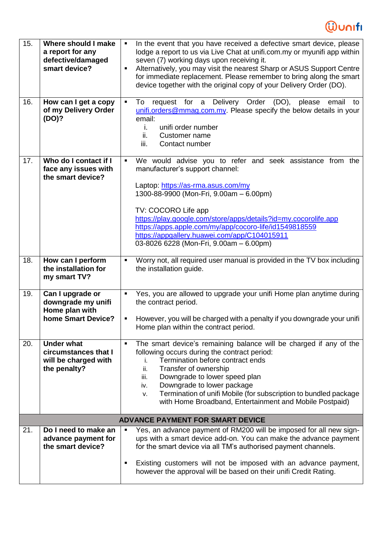## **Wunifi**

| 15.<br>16. | Where should I make<br>a report for any<br>defective/damaged<br>smart device?<br>How can I get a copy<br>of my Delivery Order<br>(DO)? | In the event that you have received a defective smart device, please<br>lodge a report to us via Live Chat at unifi.com.my or myunifi app within<br>seven (7) working days upon receiving it.<br>Alternatively, you may visit the nearest Sharp or ASUS Support Centre<br>٠<br>for immediate replacement. Please remember to bring along the smart<br>device together with the original copy of your Delivery Order (DO).<br>To request for a Delivery Order<br>(DO),<br>email<br>please<br>$\blacksquare$<br>to<br>unifi.orders@mmag.com.my. Please specify the below details in your<br>email: |
|------------|----------------------------------------------------------------------------------------------------------------------------------------|--------------------------------------------------------------------------------------------------------------------------------------------------------------------------------------------------------------------------------------------------------------------------------------------------------------------------------------------------------------------------------------------------------------------------------------------------------------------------------------------------------------------------------------------------------------------------------------------------|
|            |                                                                                                                                        | unifi order number<br>i.<br>ii.<br>Customer name<br>iii.<br>Contact number                                                                                                                                                                                                                                                                                                                                                                                                                                                                                                                       |
| 17.        | Who do I contact if I<br>face any issues with<br>the smart device?                                                                     | We would advise you to refer and seek assistance from the<br>٠<br>manufacturer's support channel:<br>Laptop: https://as-rma.asus.com/my<br>1300-88-9900 (Mon-Fri, 9.00am - 6.00pm)<br>TV: COCORO Life app<br>https://play.google.com/store/apps/details?id=my.cocorolife.app<br>https://apps.apple.com/my/app/cocoro-life/id1549818559<br>https://appgallery.huawei.com/app/C104015911<br>03-8026 6228 (Mon-Fri, 9.00am - 6.00pm)                                                                                                                                                                |
| 18.        | How can I perform<br>the installation for<br>my smart TV?                                                                              | Worry not, all required user manual is provided in the TV box including<br>٠<br>the installation guide.                                                                                                                                                                                                                                                                                                                                                                                                                                                                                          |
| 19.        | Can I upgrade or<br>downgrade my unifi<br>Home plan with<br>home Smart Device?                                                         | Yes, you are allowed to upgrade your unifi Home plan anytime during<br>$\blacksquare$<br>the contract period.<br>However, you will be charged with a penalty if you downgrade your unifi<br>٠<br>Home plan within the contract period.                                                                                                                                                                                                                                                                                                                                                           |
| 20.        | <b>Under what</b><br>circumstances that I<br>will be charged with<br>the penalty?                                                      | The smart device's remaining balance will be charged if any of the<br>٠<br>following occurs during the contract period:<br>Termination before contract ends<br>j.<br>Transfer of ownership<br>ii.<br>iii.<br>Downgrade to lower speed plan<br>Downgrade to lower package<br>iv.<br>Termination of unifi Mobile (for subscription to bundled package<br>v.<br>with Home Broadband, Entertainment and Mobile Postpaid)                                                                                                                                                                             |
|            |                                                                                                                                        | <b>ADVANCE PAYMENT FOR SMART DEVICE</b>                                                                                                                                                                                                                                                                                                                                                                                                                                                                                                                                                          |
| 21.        | Do I need to make an<br>advance payment for<br>the smart device?                                                                       | Yes, an advance payment of RM200 will be imposed for all new sign-<br>ups with a smart device add-on. You can make the advance payment<br>for the smart device via all TM's authorised payment channels.                                                                                                                                                                                                                                                                                                                                                                                         |
|            |                                                                                                                                        | Existing customers will not be imposed with an advance payment,<br>however the approval will be based on their unifi Credit Rating.                                                                                                                                                                                                                                                                                                                                                                                                                                                              |